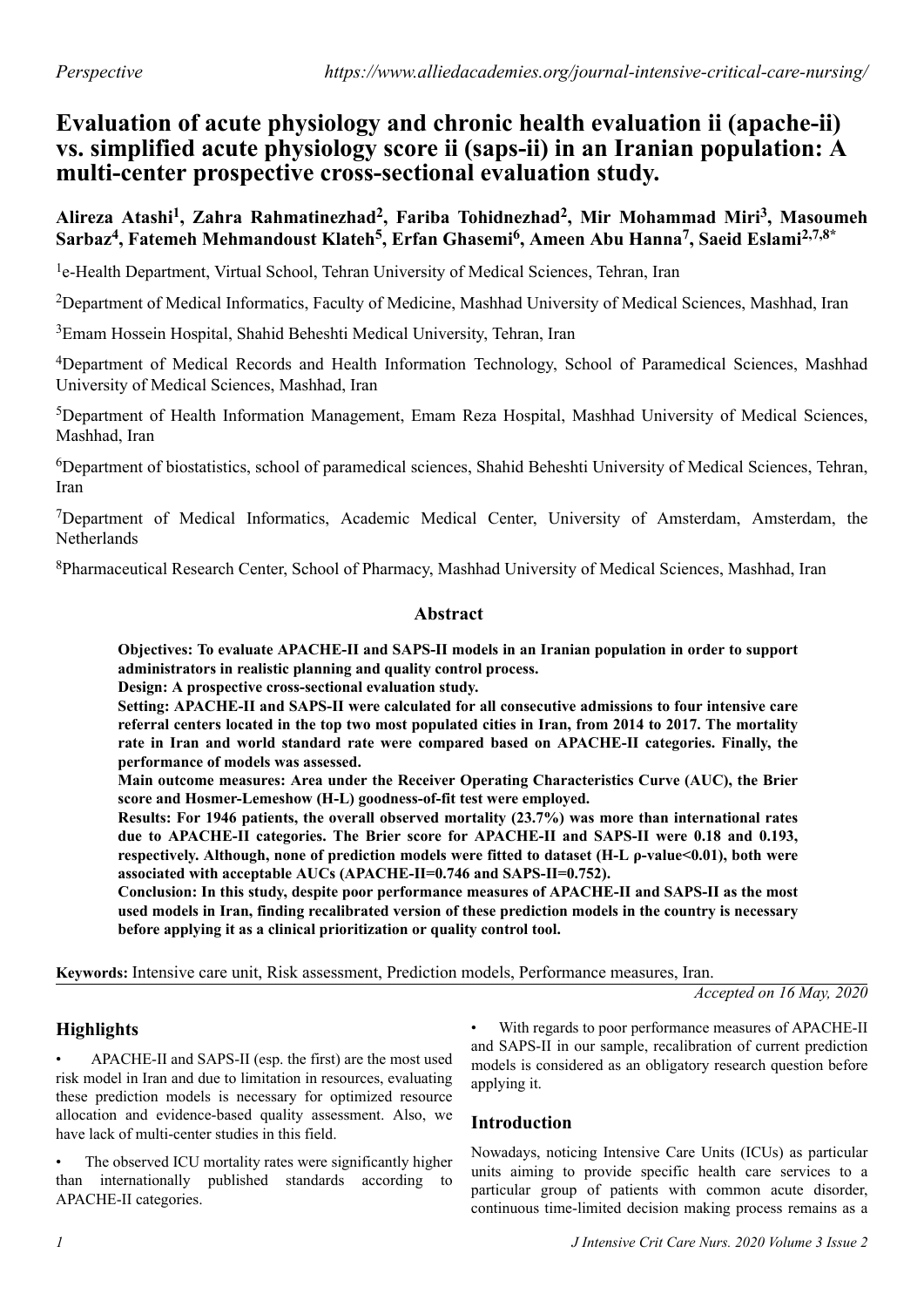# **Evaluation of acute physiology and chronic health evaluation ii (apache-ii) vs. simplified acute physiology score ii (saps-ii) in an Iranian population: A multi-center prospective cross-sectional evaluation study.**

# **Alireza Atashi<sup>1</sup> , Zahra Rahmatinezhad<sup>2</sup> , Fariba Tohidnezhad<sup>2</sup> , Mir Mohammad Miri<sup>3</sup> , Masoumeh Sarbaz<sup>4</sup> , Fatemeh Mehmandoust Klateh<sup>5</sup> , Erfan Ghasemi<sup>6</sup> , Ameen Abu Hanna<sup>7</sup> , Saeid Eslami2,7,8\***

<sup>1</sup>e-Health Department, Virtual School, Tehran University of Medical Sciences, Tehran, Iran

<sup>2</sup>Department of Medical Informatics, Faculty of Medicine, Mashhad University of Medical Sciences, Mashhad, Iran

<sup>3</sup>Emam Hossein Hospital, Shahid Beheshti Medical University, Tehran, Iran

<sup>4</sup>Department of Medical Records and Health Information Technology, School of Paramedical Sciences, Mashhad University of Medical Sciences, Mashhad, Iran

<sup>5</sup>Department of Health Information Management, Emam Reza Hospital, Mashhad University of Medical Sciences, Mashhad, Iran

<sup>6</sup>Department of biostatistics, school of paramedical sciences, Shahid Beheshti University of Medical Sciences, Tehran, Iran

<sup>7</sup>Department of Medical Informatics, Academic Medical Center, University of Amsterdam, Amsterdam, the Netherlands

<sup>8</sup>Pharmaceutical Research Center, School of Pharmacy, Mashhad University of Medical Sciences, Mashhad, Iran

#### **Abstract**

**Objectives: To evaluate APACHE-II and SAPS-II models in an Iranian population in order to support administrators in realistic planning and quality control process.**

**Design: A prospective cross-sectional evaluation study.**

**Setting: APACHE-II and SAPS-II were calculated for all consecutive admissions to four intensive care referral centers located in the top two most populated cities in Iran, from 2014 to 2017. The mortality rate in Iran and world standard rate were compared based on APACHE-II categories. Finally, the performance of models was assessed.**

**Main outcome measures: Area under the Receiver Operating Characteristics Curve (AUC), the Brier score and Hosmer-Lemeshow (H-L) goodness-of-fit test were employed.**

**Results: For 1946 patients, the overall observed mortality (23.7%) was more than international rates due to APACHE-II categories. The Brier score for APACHE-II and SAPS-II were 0.18 and 0.193, respectively. Although, none of prediction models were fitted to dataset (H-L ρ-value<0.01), both were associated with acceptable AUCs (APACHE-II=0.746 and SAPS-II=0.752).**

**Conclusion: In this study, despite poor performance measures of APACHE-II and SAPS-II as the most used models in Iran, finding recalibrated version of these prediction models in the country is necessary before applying it as a clinical prioritization or quality control tool.**

**Keywords:** Intensive care unit, Risk assessment, Prediction models, Performance measures, Iran.

*Accepted on 16 May, 2020*

# **Highlights**

• APACHE-II and SAPS-II (esp. the first) are the most used risk model in Iran and due to limitation in resources, evaluating these prediction models is necessary for optimized resource allocation and evidence-based quality assessment. Also, we have lack of multi-center studies in this field.

• The observed ICU mortality rates were significantly higher than internationally published standards according to APACHE-II categories.

With regards to poor performance measures of APACHE-II and SAPS-II in our sample, recalibration of current prediction models is considered as an obligatory research question before applying it.

## **Introduction**

Nowadays, noticing Intensive Care Units (ICUs) as particular units aiming to provide specific health care services to a particular group of patients with common acute disorder, continuous time-limited decision making process remains as a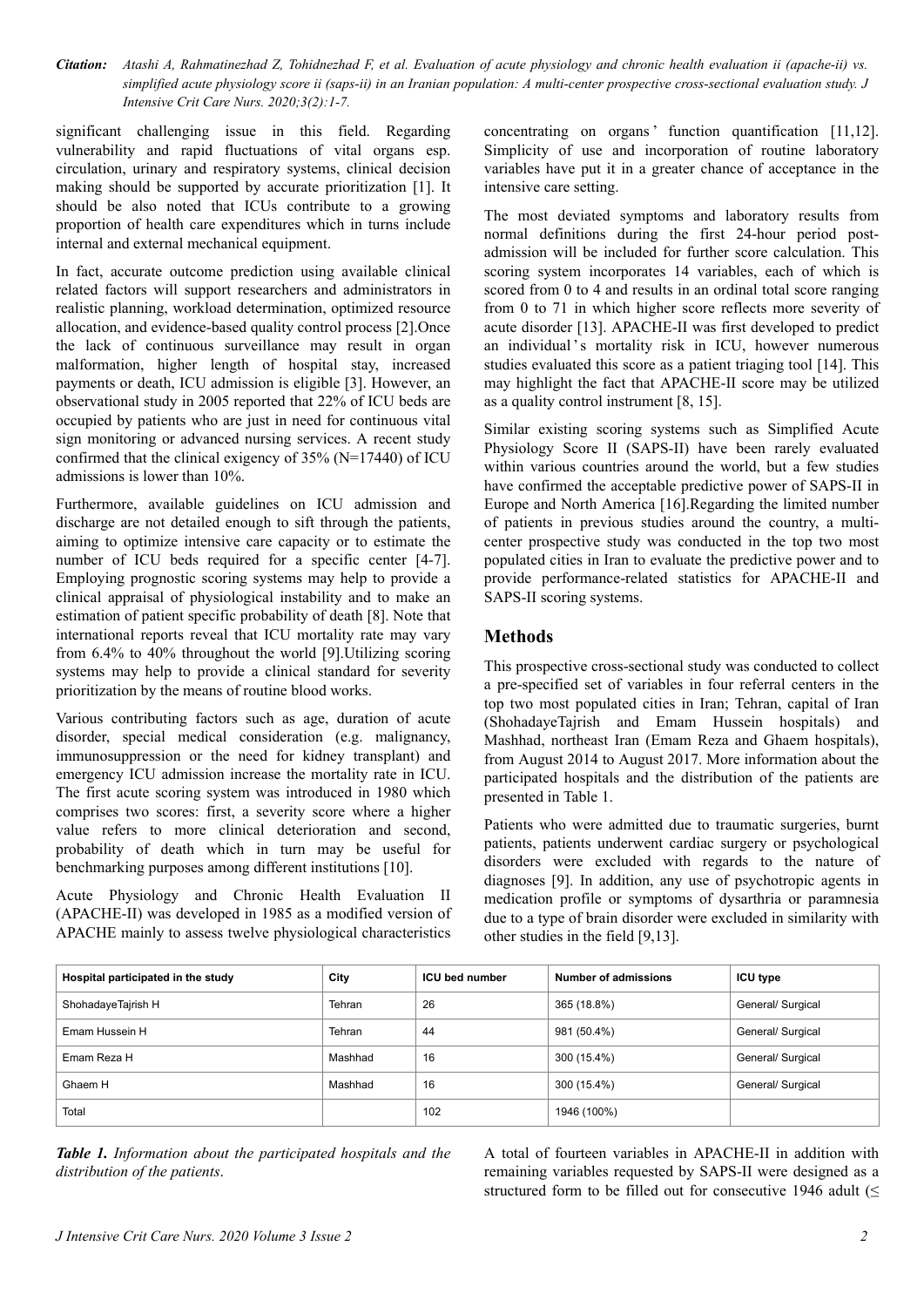*Citation: Atashi A, Rahmatinezhad Z, Tohidnezhad F, et al. Evaluation of acute physiology and chronic health evaluation ii (apache-ii) vs. simplified acute physiology score ii (saps-ii) in an Iranian population: A multi-center prospective cross-sectional evaluation study. J Intensive Crit Care Nurs. 2020;3(2):1-7.*

significant challenging issue in this field. Regarding vulnerability and rapid fluctuations of vital organs esp. circulation, urinary and respiratory systems, clinical decision making should be supported by accurate prioritization [1]. It should be also noted that ICUs contribute to a growing proportion of health care expenditures which in turns include internal and external mechanical equipment.

In fact, accurate outcome prediction using available clinical related factors will support researchers and administrators in realistic planning, workload determination, optimized resource allocation, and evidence-based quality control process [2].Once the lack of continuous surveillance may result in organ malformation, higher length of hospital stay, increased payments or death, ICU admission is eligible [3]. However, an observational study in 2005 reported that 22% of ICU beds are occupied by patients who are just in need for continuous vital sign monitoring or advanced nursing services. A recent study confirmed that the clinical exigency of 35% (N=17440) of ICU admissions is lower than 10%.

Furthermore, available guidelines on ICU admission and discharge are not detailed enough to sift through the patients, aiming to optimize intensive care capacity or to estimate the number of ICU beds required for a specific center [4-7]. Employing prognostic scoring systems may help to provide a clinical appraisal of physiological instability and to make an estimation of patient specific probability of death [8]. Note that international reports reveal that ICU mortality rate may vary from 6.4% to 40% throughout the world [9].Utilizing scoring systems may help to provide a clinical standard for severity prioritization by the means of routine blood works.

Various contributing factors such as age, duration of acute disorder, special medical consideration (e.g. malignancy, immunosuppression or the need for kidney transplant) and emergency ICU admission increase the mortality rate in ICU. The first acute scoring system was introduced in 1980 which comprises two scores: first, a severity score where a higher value refers to more clinical deterioration and second, probability of death which in turn may be useful for benchmarking purposes among different institutions [10].

Acute Physiology and Chronic Health Evaluation II (APACHE-II) was developed in 1985 as a modified version of APACHE mainly to assess twelve physiological characteristics

concentrating on organs function quantification [11,12]. Simplicity of use and incorporation of routine laboratory variables have put it in a greater chance of acceptance in the intensive care setting.

The most deviated symptoms and laboratory results from normal definitions during the first 24-hour period postadmission will be included for further score calculation. This scoring system incorporates 14 variables, each of which is scored from 0 to 4 and results in an ordinal total score ranging from 0 to 71 in which higher score reflects more severity of acute disorder [13]. APACHE-II was first developed to predict an individual's mortality risk in ICU, however numerous studies evaluated this score as a patient triaging tool [14]. This may highlight the fact that APACHE-II score may be utilized as a quality control instrument [8, 15].

Similar existing scoring systems such as Simplified Acute Physiology Score II (SAPS-II) have been rarely evaluated within various countries around the world, but a few studies have confirmed the acceptable predictive power of SAPS-II in Europe and North America [16].Regarding the limited number of patients in previous studies around the country, a multicenter prospective study was conducted in the top two most populated cities in Iran to evaluate the predictive power and to provide performance-related statistics for APACHE-II and SAPS-II scoring systems.

## **Methods**

This prospective cross-sectional study was conducted to collect a pre-specified set of variables in four referral centers in the top two most populated cities in Iran; Tehran, capital of Iran (ShohadayeTajrish and Emam Hussein hospitals) and Mashhad, northeast Iran (Emam Reza and Ghaem hospitals), from August 2014 to August 2017. More information about the participated hospitals and the distribution of the patients are presented in Table 1.

Patients who were admitted due to traumatic surgeries, burnt patients, patients underwent cardiac surgery or psychological disorders were excluded with regards to the nature of diagnoses [9]. In addition, any use of psychotropic agents in medication profile or symptoms of dysarthria or paramnesia due to a type of brain disorder were excluded in similarity with other studies in the field [9,13].

| Hospital participated in the study | City    | <b>ICU</b> bed number | Number of admissions | <b>ICU type</b>   |
|------------------------------------|---------|-----------------------|----------------------|-------------------|
| ShohadayeTajrish H                 | Tehran  | 26                    | 365 (18.8%)          | General/ Surgical |
| Emam Hussein H                     | Tehran  | 44                    | 981 (50.4%)          | General/ Surgical |
| Emam Reza H                        | Mashhad | 16                    | 300 (15.4%)          | General/ Surgical |
| Ghaem H                            | Mashhad | 16                    | 300 (15.4%)          | General/ Surgical |
| Total                              |         | 102                   | 1946 (100%)          |                   |

*Table 1. Information about the participated hospitals and the distribution of the patients*.

A total of fourteen variables in APACHE-II in addition with remaining variables requested by SAPS-II were designed as a structured form to be filled out for consecutive 1946 adult (<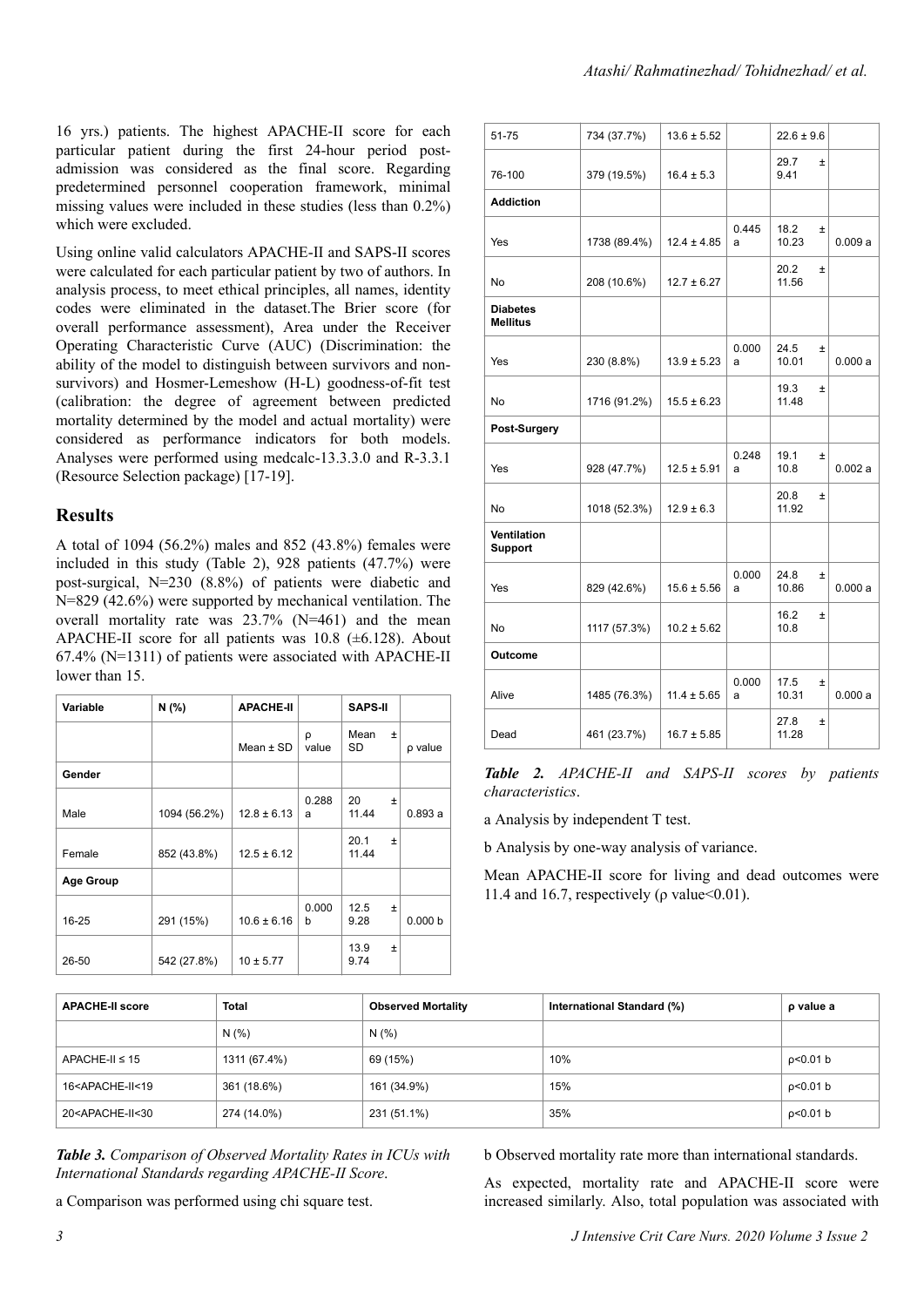16 yrs.) patients. The highest APACHE-II score for each particular patient during the first 24-hour period postadmission was considered as the final score. Regarding predetermined personnel cooperation framework, minimal missing values were included in these studies (less than 0.2%) which were excluded.

Using online valid calculators APACHE-II and SAPS-II scores were calculated for each particular patient by two of authors. In analysis process, to meet ethical principles, all names, identity codes were eliminated in the dataset.The Brier score (for overall performance assessment), Area under the Receiver Operating Characteristic Curve (AUC) (Discrimination: the ability of the model to distinguish between survivors and nonsurvivors) and Hosmer-Lemeshow (H-L) goodness-of-fit test (calibration: the degree of agreement between predicted mortality determined by the model and actual mortality) were considered as performance indicators for both models. Analyses were performed using medcalc-13.3.3.0 and R-3.3.1 (Resource Selection package) [17-19].

#### **Results**

A total of 1094 (56.2%) males and 852 (43.8%) females were included in this study (Table 2), 928 patients (47.7%) were post-surgical, N=230 (8.8%) of patients were diabetic and N=829 (42.6%) were supported by mechanical ventilation. The overall mortality rate was 23.7% (N=461) and the mean APACHE-II score for all patients was  $10.8$  ( $\pm$ 6.128). About 67.4% (N=1311) of patients were associated with APACHE-II lower than 15.

| Variable         | N(% )        | <b>APACHE-II</b> |            | <b>SAPS-II</b>         |                    |
|------------------|--------------|------------------|------------|------------------------|--------------------|
|                  |              | Mean $±$ SD      | ρ<br>value | Mean<br>$\pm$<br>SD    | p value            |
| Gender           |              |                  |            |                        |                    |
| Male             | 1094 (56.2%) | $12.8 \pm 6.13$  | 0.288<br>a | 20<br>$\pm$<br>11.44   | 0.893a             |
| Female           | 852 (43.8%)  | $12.5 \pm 6.12$  |            | 20.1<br>$\pm$<br>11.44 |                    |
| <b>Age Group</b> |              |                  |            |                        |                    |
| 16-25            | 291 (15%)    | $10.6 \pm 6.16$  | 0.000<br>b | 12.5<br>$\pm$<br>9.28  | 0.000 <sub>b</sub> |
| 26-50            | 542 (27.8%)  | $10 \pm 5.77$    |            | 13.9<br>$\pm$<br>9.74  |                    |

| Atashi/Rahmatinezhad/Tohidnezhad/ et al. |
|------------------------------------------|
|                                          |

| 51-75                              | 734 (37.7%)  | $13.6 \pm 5.52$ |            | $22.6 \pm 9.6$         |         |
|------------------------------------|--------------|-----------------|------------|------------------------|---------|
| 76-100                             | 379 (19.5%)  | $16.4 \pm 5.3$  |            | 29.7<br>$\pm$<br>9.41  |         |
| <b>Addiction</b>                   |              |                 |            |                        |         |
| Yes                                | 1738 (89.4%) | $12.4 \pm 4.85$ | 0.445<br>a | 18.2<br>Ŧ<br>10.23     | 0.009a  |
| No                                 | 208 (10.6%)  | $12.7 \pm 6.27$ |            | 20.2<br>Ŧ<br>11.56     |         |
| <b>Diabetes</b><br><b>Mellitus</b> |              |                 |            |                        |         |
| Yes                                | 230 (8.8%)   | $13.9 \pm 5.23$ | 0.000<br>a | 24.5<br>Ŧ<br>10.01     | 0.000 a |
| No                                 | 1716 (91.2%) | $15.5 \pm 6.23$ |            | 19.3<br>$\pm$<br>11.48 |         |
| Post-Surgery                       |              |                 |            |                        |         |
| Yes                                | 928 (47.7%)  | $12.5 \pm 5.91$ | 0.248<br>a | 19.1<br>Ŧ<br>10.8      | 0.002a  |
| No                                 | 1018 (52.3%) | $12.9 \pm 6.3$  |            | 20.8<br>Ŧ<br>11.92     |         |
| Ventilation<br><b>Support</b>      |              |                 |            |                        |         |
| Yes                                | 829 (42.6%)  | $15.6 \pm 5.56$ | 0.000<br>a | 24.8<br>Ŧ<br>10.86     | 0.000a  |
| <b>No</b>                          | 1117 (57.3%) | $10.2 \pm 5.62$ |            | 16.2<br>Ŧ<br>10.8      |         |
| <b>Outcome</b>                     |              |                 |            |                        |         |
| Alive                              | 1485 (76.3%) | $11.4 \pm 5.65$ | 0.000<br>a | 17.5<br>$\pm$<br>10.31 | 0.000a  |
| Dead                               | 461 (23.7%)  | $16.7 \pm 5.85$ |            | 27.8<br>$\pm$<br>11.28 |         |

*Table 2. APACHE-II and SAPS-II scores by patients characteristics*.

a Analysis by independent T test.

b Analysis by one-way analysis of variance.

Mean APACHE-II score for living and dead outcomes were 11.4 and 16.7, respectively ( $\rho$  value < 0.01).

| <b>APACHE-II score</b>                                                                                           | <b>Total</b> | <b>Observed Mortality</b> | International Standard (%) | p value a |
|------------------------------------------------------------------------------------------------------------------|--------------|---------------------------|----------------------------|-----------|
|                                                                                                                  | N(% )        | N(% )                     |                            |           |
| $APACHE-II \leq 15$                                                                                              | 1311 (67.4%) | 69 (15%)                  | 10%                        | p<0.01 b  |
| 16 <apache-ii<19< td=""><td>361 (18.6%)</td><td>161 (34.9%)</td><td>15%</td><td>p&lt;0.01 b</td></apache-ii<19<> | 361 (18.6%)  | 161 (34.9%)               | 15%                        | p<0.01 b  |
| 20 <apache-ii<30< td=""><td>274 (14.0%)</td><td>231 (51.1%)</td><td>35%</td><td>p&lt;0.01 b</td></apache-ii<30<> | 274 (14.0%)  | 231 (51.1%)               | 35%                        | p<0.01 b  |

*Table 3. Comparison of Observed Mortality Rates in ICUs with International Standards regarding APACHE-II Score*.

a Comparison was performed using chi square test.

b Observed mortality rate more than international standards.

As expected, mortality rate and APACHE-II score were increased similarly. Also, total population was associated with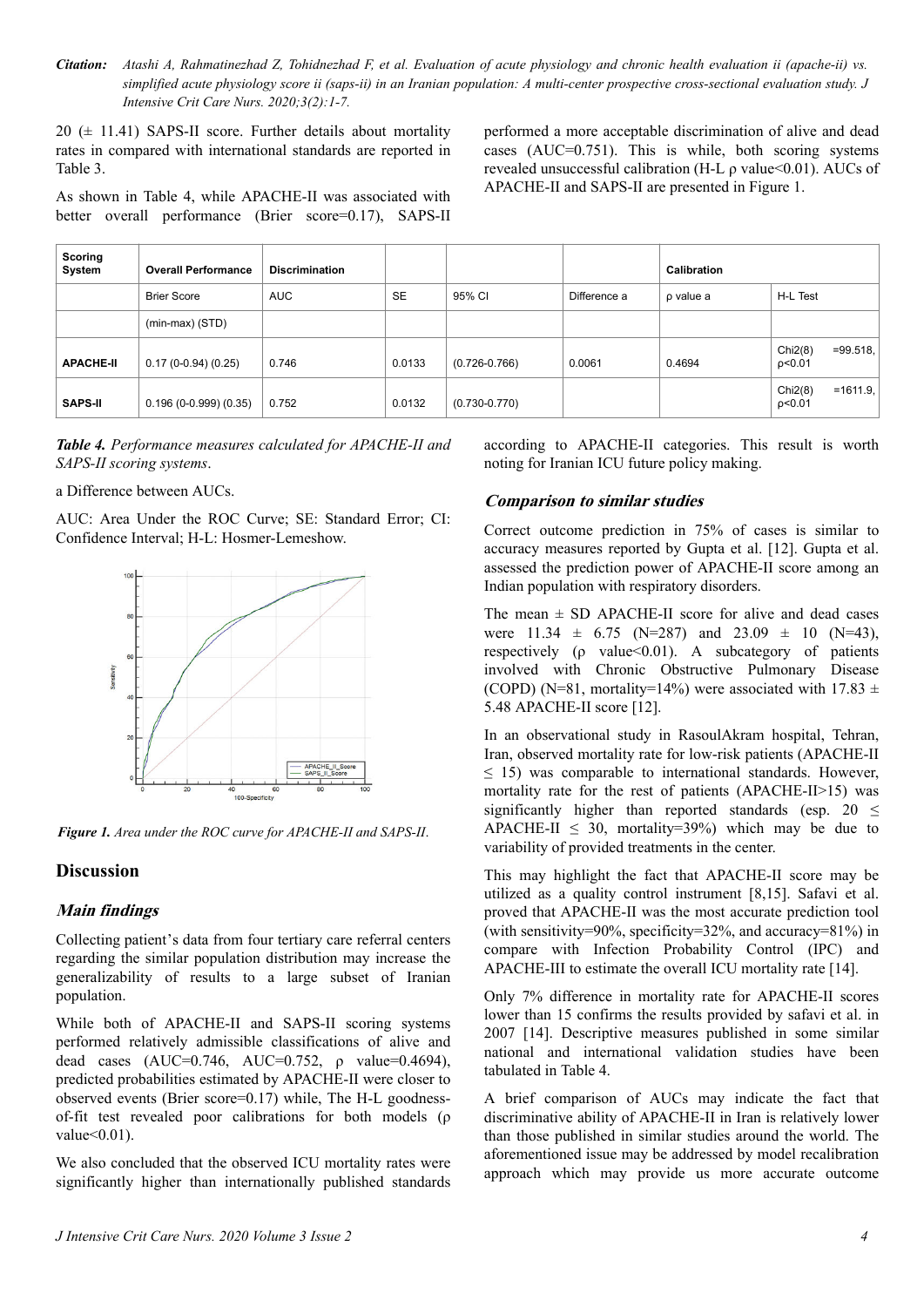*Citation: Atashi A, Rahmatinezhad Z, Tohidnezhad F, et al. Evaluation of acute physiology and chronic health evaluation ii (apache-ii) vs. simplified acute physiology score ii (saps-ii) in an Iranian population: A multi-center prospective cross-sectional evaluation study. J Intensive Crit Care Nurs. 2020;3(2):1-7.*

 $20 \ (\pm 11.41)$  SAPS-II score. Further details about mortality rates in compared with international standards are reported in Table 3.

As shown in Table 4, while APACHE-II was associated with better overall performance (Brier score=0.17), SAPS-II performed a more acceptable discrimination of alive and dead cases (AUC=0.751). This is while, both scoring systems revealed unsuccessful calibration (H-L ρ value<0.01). AUCs of APACHE-II and SAPS-II are presented in Figure 1.

| Scoring<br>System | <b>Overall Performance</b> | <b>Discrimination</b> |           |                   |              | Calibration |                                |
|-------------------|----------------------------|-----------------------|-----------|-------------------|--------------|-------------|--------------------------------|
|                   | <b>Brier Score</b>         | <b>AUC</b>            | <b>SE</b> | 95% CI            | Difference a | p value a   | H-L Test                       |
|                   | $(min-max)$ (STD)          |                       |           |                   |              |             |                                |
| <b>APACHE-II</b>  | $0.17(0-0.94)(0.25)$       | 0.746                 | 0.0133    | $(0.726 - 0.766)$ | 0.0061       | 0.4694      | Chi2(8)<br>$=99.518$<br>p<0.01 |
| <b>SAPS-II</b>    | $0.196(0-0.999)(0.35)$     | 0.752                 | 0.0132    | $(0.730 - 0.770)$ |              |             | Chi2(8)<br>$=1611.9$<br>p<0.01 |

*Table 4. Performance measures calculated for APACHE-II and SAPS-II scoring systems*.

a Difference between AUCs.

AUC: Area Under the ROC Curve; SE: Standard Error; CI: Confidence Interval; H-L: Hosmer-Lemeshow.



*Figure 1. Area under the ROC curve for APACHE-II and SAPS-II*.

#### **Discussion**

#### **Main findings**

Collecting patient's data from four tertiary care referral centers regarding the similar population distribution may increase the generalizability of results to a large subset of Iranian population.

While both of APACHE-II and SAPS-II scoring systems performed relatively admissible classifications of alive and dead cases  $(AUC=0.746, AUC=0.752, \rho value=0.4694),$ predicted probabilities estimated by APACHE-II were closer to observed events (Brier score=0.17) while, The H-L goodnessof-fit test revealed poor calibrations for both models (ρ value $\leq 0.01$ ).

We also concluded that the observed ICU mortality rates were significantly higher than internationally published standards according to APACHE-II categories. This result is worth noting for Iranian ICU future policy making.

#### **Comparison to similar studies**

Correct outcome prediction in 75% of cases is similar to accuracy measures reported by Gupta et al. [12]. Gupta et al. assessed the prediction power of APACHE-II score among an Indian population with respiratory disorders.

The mean  $\pm$  SD APACHE-II score for alive and dead cases were  $11.34 \pm 6.75$  (N=287) and  $23.09 \pm 10$  (N=43), respectively ( $\rho$  value < 0.01). A subcategory of patients involved with Chronic Obstructive Pulmonary Disease (COPD) (N=81, mortality=14%) were associated with  $17.83 \pm$ 5.48 APACHE-II score [12].

In an observational study in RasoulAkram hospital, Tehran, Iran, observed mortality rate for low-risk patients (APACHE-II  $\leq$  15) was comparable to international standards. However, mortality rate for the rest of patients (APACHE-II>15) was significantly higher than reported standards (esp. 20  $\leq$ APACHE-II  $\leq$  30, mortality=39%) which may be due to variability of provided treatments in the center.

This may highlight the fact that APACHE-II score may be utilized as a quality control instrument [8,15]. Safavi et al. proved that APACHE-II was the most accurate prediction tool (with sensitivity=90%, specificity=32%, and accuracy=81%) in compare with Infection Probability Control (IPC) and APACHE-III to estimate the overall ICU mortality rate [14].

Only 7% difference in mortality rate for APACHE-II scores lower than 15 confirms the results provided by safavi et al. in 2007 [14]. Descriptive measures published in some similar national and international validation studies have been tabulated in Table 4.

A brief comparison of AUCs may indicate the fact that discriminative ability of APACHE-II in Iran is relatively lower than those published in similar studies around the world. The aforementioned issue may be addressed by model recalibration approach which may provide us more accurate outcome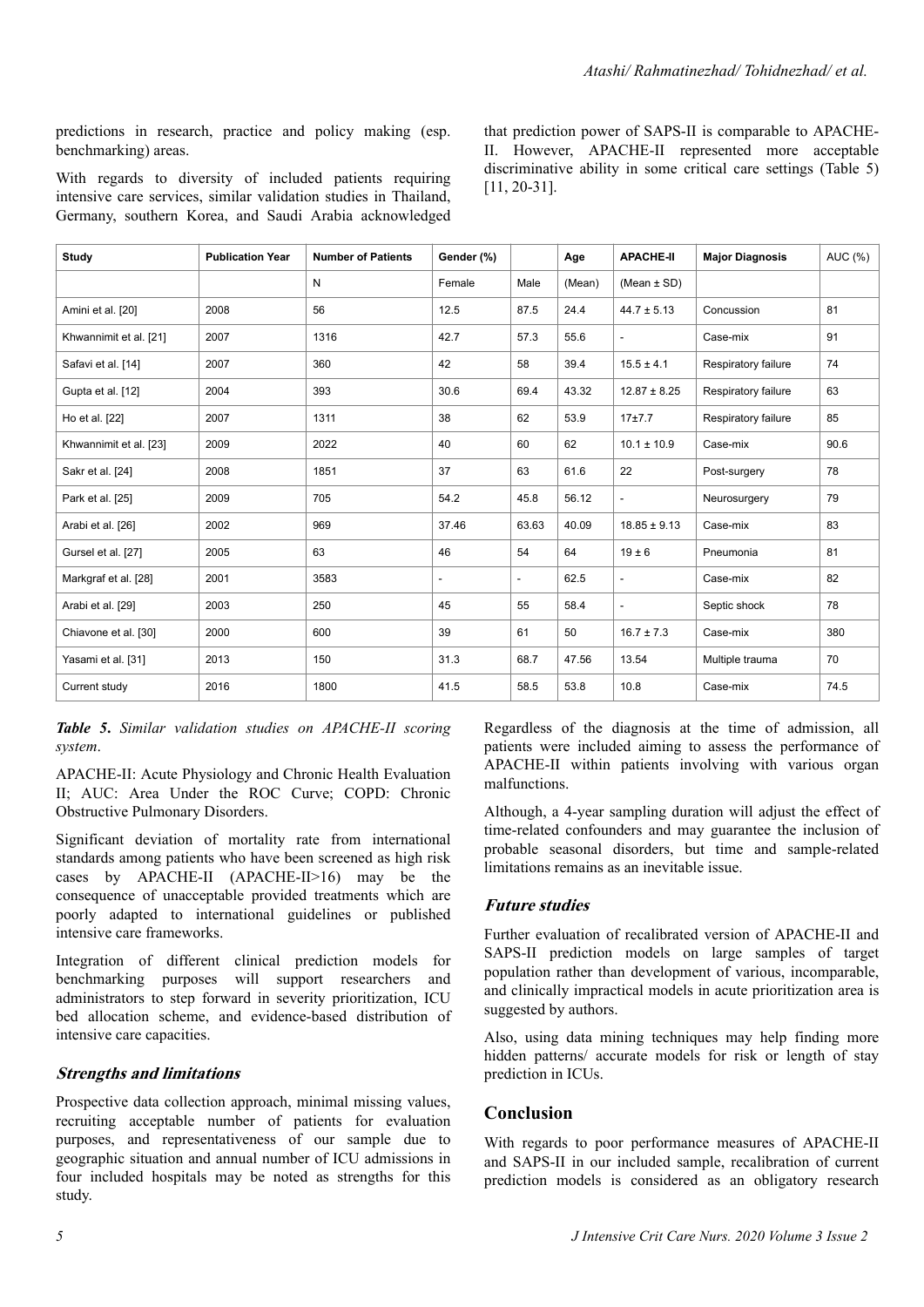predictions in research, practice and policy making (esp. benchmarking) areas.

With regards to diversity of included patients requiring intensive care services, similar validation studies in Thailand, Germany, southern Korea, and Saudi Arabia acknowledged that prediction power of SAPS-II is comparable to APACHE-II. However, APACHE-II represented more acceptable discriminative ability in some critical care settings (Table 5) [11, 20-31].

| <b>Study</b>           | <b>Publication Year</b> | <b>Number of Patients</b> | Gender (%)               |                          | Age    | <b>APACHE-II</b>         | <b>Major Diagnosis</b> | AUC (%) |
|------------------------|-------------------------|---------------------------|--------------------------|--------------------------|--------|--------------------------|------------------------|---------|
|                        |                         | N                         | Female                   | Male                     | (Mean) | $(Mean \pm SD)$          |                        |         |
| Amini et al. [20]      | 2008                    | 56                        | 12.5                     | 87.5                     | 24.4   | $44.7 \pm 5.13$          | Concussion             | 81      |
| Khwannimit et al. [21] | 2007                    | 1316                      | 42.7                     | 57.3                     | 55.6   |                          | Case-mix               | 91      |
| Safavi et al. [14]     | 2007                    | 360                       | 42                       | 58                       | 39.4   | $15.5 \pm 4.1$           | Respiratory failure    | 74      |
| Gupta et al. [12]      | 2004                    | 393                       | 30.6                     | 69.4                     | 43.32  | $12.87 \pm 8.25$         | Respiratory failure    | 63      |
| Ho et al. [22]         | 2007                    | 1311                      | 38                       | 62                       | 53.9   | 17±7.7                   | Respiratory failure    | 85      |
| Khwannimit et al. [23] | 2009                    | 2022                      | 40                       | 60                       | 62     | $10.1 \pm 10.9$          | Case-mix               | 90.6    |
| Sakr et al. [24]       | 2008                    | 1851                      | 37                       | 63                       | 61.6   | 22                       | Post-surgery           | 78      |
| Park et al. [25]       | 2009                    | 705                       | 54.2                     | 45.8                     | 56.12  | $\overline{\phantom{a}}$ | Neurosurgery           | 79      |
| Arabi et al. [26]      | 2002                    | 969                       | 37.46                    | 63.63                    | 40.09  | $18.85 \pm 9.13$         | Case-mix               | 83      |
| Gursel et al. [27]     | 2005                    | 63                        | 46                       | 54                       | 64     | $19 \pm 6$               | Pneumonia              | 81      |
| Markgraf et al. [28]   | 2001                    | 3583                      | $\overline{\phantom{0}}$ | $\overline{\phantom{a}}$ | 62.5   | $\overline{\phantom{a}}$ | Case-mix               | 82      |
| Arabi et al. [29]      | 2003                    | 250                       | 45                       | 55                       | 58.4   |                          | Septic shock           | 78      |
| Chiavone et al. [30]   | 2000                    | 600                       | 39                       | 61                       | 50     | $16.7 \pm 7.3$           | Case-mix               | 380     |
| Yasami et al. [31]     | 2013                    | 150                       | 31.3                     | 68.7                     | 47.56  | 13.54                    | Multiple trauma        | 70      |
| Current study          | 2016                    | 1800                      | 41.5                     | 58.5                     | 53.8   | 10.8                     | Case-mix               | 74.5    |

*Table 5***.** *Similar validation studies on APACHE-II scoring system*.

APACHE-II: Acute Physiology and Chronic Health Evaluation II; AUC: Area Under the ROC Curve; COPD: Chronic Obstructive Pulmonary Disorders.

Significant deviation of mortality rate from international standards among patients who have been screened as high risk cases by APACHE-II (APACHE-II>16) may be the consequence of unacceptable provided treatments which are poorly adapted to international guidelines or published intensive care frameworks.

Integration of different clinical prediction models for benchmarking purposes will support researchers and administrators to step forward in severity prioritization, ICU bed allocation scheme, and evidence-based distribution of intensive care capacities.

#### **Strengths and limitations**

Prospective data collection approach, minimal missing values, recruiting acceptable number of patients for evaluation purposes, and representativeness of our sample due to geographic situation and annual number of ICU admissions in four included hospitals may be noted as strengths for this study.

Regardless of the diagnosis at the time of admission, all patients were included aiming to assess the performance of APACHE-II within patients involving with various organ malfunctions.

Although, a 4-year sampling duration will adjust the effect of time-related confounders and may guarantee the inclusion of probable seasonal disorders, but time and sample-related limitations remains as an inevitable issue.

#### **Future studies**

Further evaluation of recalibrated version of APACHE-II and SAPS-II prediction models on large samples of target population rather than development of various, incomparable, and clinically impractical models in acute prioritization area is suggested by authors.

Also, using data mining techniques may help finding more hidden patterns/ accurate models for risk or length of stay prediction in ICUs.

#### **Conclusion**

With regards to poor performance measures of APACHE-II and SAPS-II in our included sample, recalibration of current prediction models is considered as an obligatory research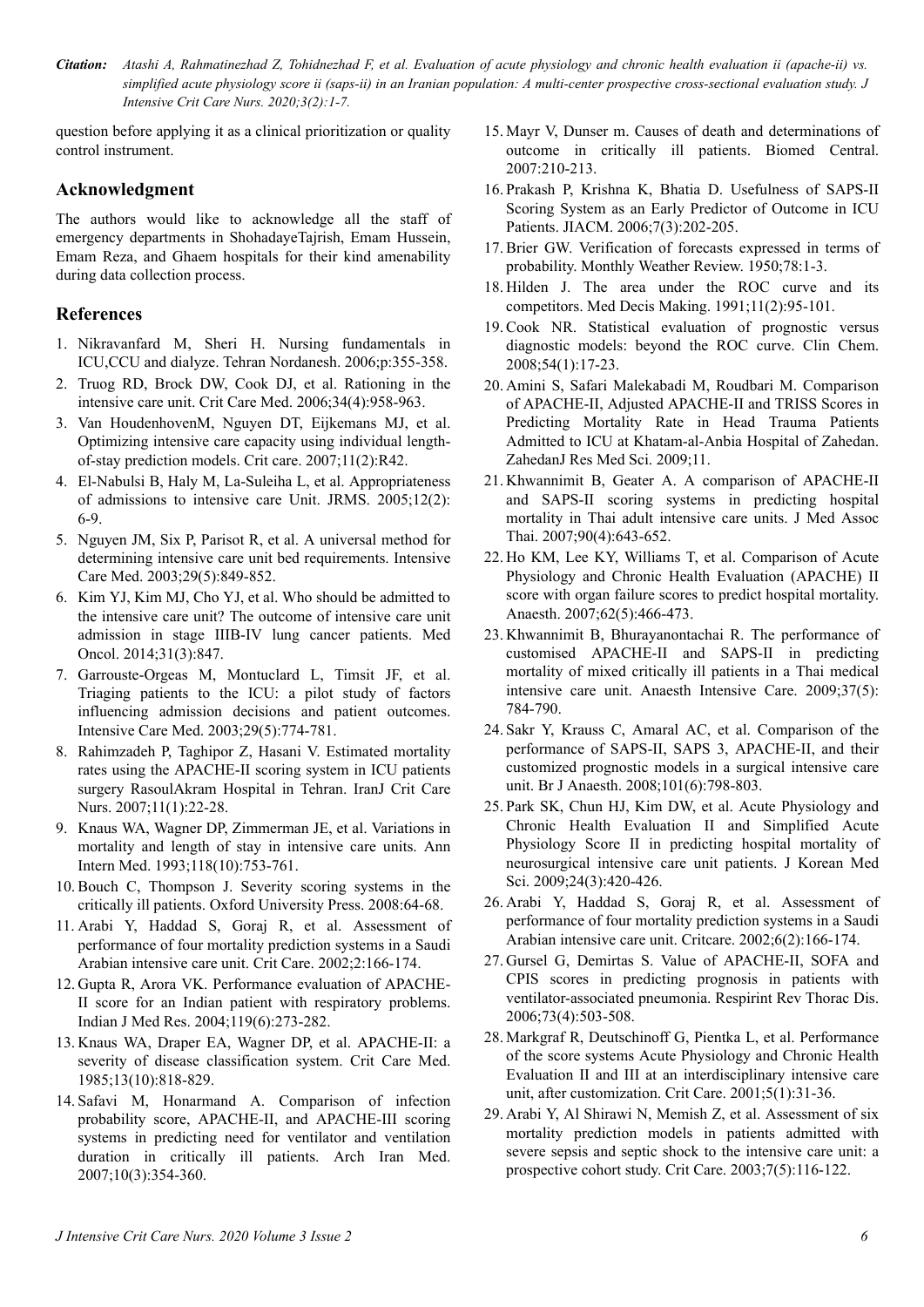*Citation: Atashi A, Rahmatinezhad Z, Tohidnezhad F, et al. Evaluation of acute physiology and chronic health evaluation ii (apache-ii) vs. simplified acute physiology score ii (saps-ii) in an Iranian population: A multi-center prospective cross-sectional evaluation study. J Intensive Crit Care Nurs. 2020;3(2):1-7.*

question before applying it as a clinical prioritization or quality control instrument.

#### **Acknowledgment**

The authors would like to acknowledge all the staff of emergency departments in ShohadayeTajrish, Emam Hussein, Emam Reza, and Ghaem hospitals for their kind amenability during data collection process.

#### **References**

- 1. Nikravanfard M, Sheri H. Nursing fundamentals in ICU,CCU and dialyze. Tehran Nordanesh. 2006;p:355-358.
- 2. Truog RD, Brock DW, Cook DJ, et al. Rationing in the intensive care unit. Crit Care Med. 2006;34(4):958-963.
- 3. Van HoudenhovenM, Nguyen DT, Eijkemans MJ, et al. Optimizing intensive care capacity using individual lengthof-stay prediction models. Crit care. 2007;11(2):R42.
- 4. El-Nabulsi B, Haly M, La-Suleiha L, et al. Appropriateness of admissions to intensive care Unit. JRMS. 2005;12(2): 6-9.
- 5. Nguyen JM, Six P, Parisot R, et al. A universal method for determining intensive care unit bed requirements. Intensive Care Med. 2003;29(5):849-852.
- 6. Kim YJ, Kim MJ, Cho YJ, et al. Who should be admitted to the intensive care unit? The outcome of intensive care unit admission in stage IIIB-IV lung cancer patients. Med Oncol. 2014;31(3):847.
- 7. Garrouste-Orgeas M, Montuclard L, Timsit JF, et al. Triaging patients to the ICU: a pilot study of factors influencing admission decisions and patient outcomes. Intensive Care Med. 2003;29(5):774-781.
- 8. Rahimzadeh P, Taghipor Z, Hasani V. Estimated mortality rates using the APACHE-II scoring system in ICU patients surgery RasoulAkram Hospital in Tehran. IranJ Crit Care Nurs. 2007;11(1):22-28.
- 9. Knaus WA, Wagner DP, Zimmerman JE, et al. Variations in mortality and length of stay in intensive care units. Ann Intern Med. 1993;118(10):753-761.
- 10. Bouch C, Thompson J. Severity scoring systems in the critically ill patients. Oxford University Press. 2008:64-68.
- 11. Arabi Y, Haddad S, Goraj R, et al. Assessment of performance of four mortality prediction systems in a Saudi Arabian intensive care unit. Crit Care. 2002;2:166-174.
- 12. Gupta R, Arora VK. Performance evaluation of APACHE-II score for an Indian patient with respiratory problems. Indian J Med Res. 2004;119(6):273-282.
- 13. Knaus WA, Draper EA, Wagner DP, et al. APACHE-II: a severity of disease classification system. Crit Care Med. 1985;13(10):818-829.
- 14.Safavi M, Honarmand A. Comparison of infection probability score, APACHE-II, and APACHE-III scoring systems in predicting need for ventilator and ventilation duration in critically ill patients. Arch Iran Med. 2007;10(3):354-360.
- 15. Mayr V, Dunser m. Causes of death and determinations of outcome in critically ill patients. Biomed Central. 2007:210-213.
- 16.Prakash P, Krishna K, Bhatia D. Usefulness of SAPS-II Scoring System as an Early Predictor of Outcome in ICU Patients. JIACM. 2006;7(3):202-205.
- 17. Brier GW. Verification of forecasts expressed in terms of probability. Monthly Weather Review. 1950;78:1-3.
- 18. Hilden J. The area under the ROC curve and its competitors. Med Decis Making. 1991;11(2):95-101.
- 19. Cook NR. Statistical evaluation of prognostic versus diagnostic models: beyond the ROC curve. Clin Chem. 2008;54(1):17-23.
- 20. Amini S, Safari Malekabadi M, Roudbari M. Comparison of APACHE-II, Adjusted APACHE-II and TRISS Scores in Predicting Mortality Rate in Head Trauma Patients Admitted to ICU at Khatam-al-Anbia Hospital of Zahedan. ZahedanJ Res Med Sci. 2009;11.
- 21. Khwannimit B, Geater A. A comparison of APACHE-II and SAPS-II scoring systems in predicting hospital mortality in Thai adult intensive care units. J Med Assoc Thai. 2007;90(4):643-652.
- 22. Ho KM, Lee KY, Williams T, et al. Comparison of Acute Physiology and Chronic Health Evaluation (APACHE) II score with organ failure scores to predict hospital mortality. Anaesth. 2007;62(5):466-473.
- 23. Khwannimit B, Bhurayanontachai R. The performance of customised APACHE-II and SAPS-II in predicting mortality of mixed critically ill patients in a Thai medical intensive care unit. Anaesth Intensive Care. 2009;37(5): 784-790.
- 24.Sakr Y, Krauss C, Amaral AC, et al. Comparison of the performance of SAPS-II, SAPS 3, APACHE-II, and their customized prognostic models in a surgical intensive care unit. Br J Anaesth. 2008;101(6):798-803.
- 25.Park SK, Chun HJ, Kim DW, et al. Acute Physiology and Chronic Health Evaluation II and Simplified Acute Physiology Score II in predicting hospital mortality of neurosurgical intensive care unit patients. J Korean Med Sci. 2009;24(3):420-426.
- 26. Arabi Y, Haddad S, Goraj R, et al. Assessment of performance of four mortality prediction systems in a Saudi Arabian intensive care unit. Critcare. 2002;6(2):166-174.
- 27. Gursel G, Demirtas S. Value of APACHE-II, SOFA and CPIS scores in predicting prognosis in patients with ventilator-associated pneumonia. Respirint Rev Thorac Dis. 2006;73(4):503-508.
- 28. Markgraf R, Deutschinoff G, Pientka L, et al. Performance of the score systems Acute Physiology and Chronic Health Evaluation II and III at an interdisciplinary intensive care unit, after customization. Crit Care. 2001;5(1):31-36.
- 29. Arabi Y, Al Shirawi N, Memish Z, et al. Assessment of six mortality prediction models in patients admitted with severe sepsis and septic shock to the intensive care unit: a prospective cohort study. Crit Care. 2003;7(5):116-122.